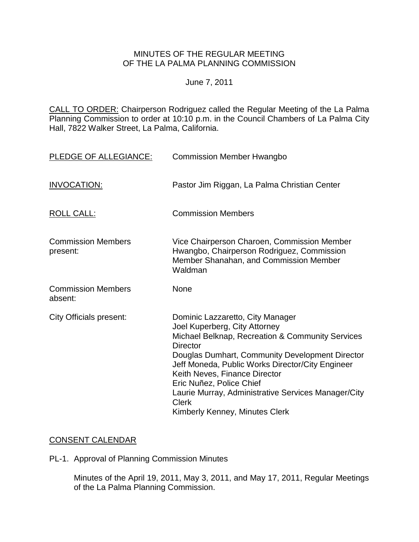## MINUTES OF THE REGULAR MEETING OF THE LA PALMA PLANNING COMMISSION

#### June 7, 2011

CALL TO ORDER: Chairperson Rodriguez called the Regular Meeting of the La Palma Planning Commission to order at 10:10 p.m. in the Council Chambers of La Palma City Hall, 7822 Walker Street, La Palma, California.

| PLEDGE OF ALLEGIANCE:                 | <b>Commission Member Hwangbo</b>                                                                                                                                                                                                                                                                                                                                                                                      |
|---------------------------------------|-----------------------------------------------------------------------------------------------------------------------------------------------------------------------------------------------------------------------------------------------------------------------------------------------------------------------------------------------------------------------------------------------------------------------|
| <b>INVOCATION:</b>                    | Pastor Jim Riggan, La Palma Christian Center                                                                                                                                                                                                                                                                                                                                                                          |
| <b>ROLL CALL:</b>                     | <b>Commission Members</b>                                                                                                                                                                                                                                                                                                                                                                                             |
| <b>Commission Members</b><br>present: | Vice Chairperson Charoen, Commission Member<br>Hwangbo, Chairperson Rodriguez, Commission<br>Member Shanahan, and Commission Member<br>Waldman                                                                                                                                                                                                                                                                        |
| <b>Commission Members</b><br>absent:  | None                                                                                                                                                                                                                                                                                                                                                                                                                  |
| <b>City Officials present:</b>        | Dominic Lazzaretto, City Manager<br>Joel Kuperberg, City Attorney<br>Michael Belknap, Recreation & Community Services<br><b>Director</b><br>Douglas Dumhart, Community Development Director<br>Jeff Moneda, Public Works Director/City Engineer<br>Keith Neves, Finance Director<br>Eric Nuñez, Police Chief<br>Laurie Murray, Administrative Services Manager/City<br><b>Clerk</b><br>Kimberly Kenney, Minutes Clerk |

# [CONSENT CALENDAR](http://lapalma.granicus.com/MediaPlayerFrameHandler.php?view_id=&clip_id=590&meta_id=74519)

PL-1. Approval of Planning Commission Minutes

Minutes of the April 19, 2011, May 3, 2011, and May 17, 2011, Regular Meetings of the La Palma Planning Commission.